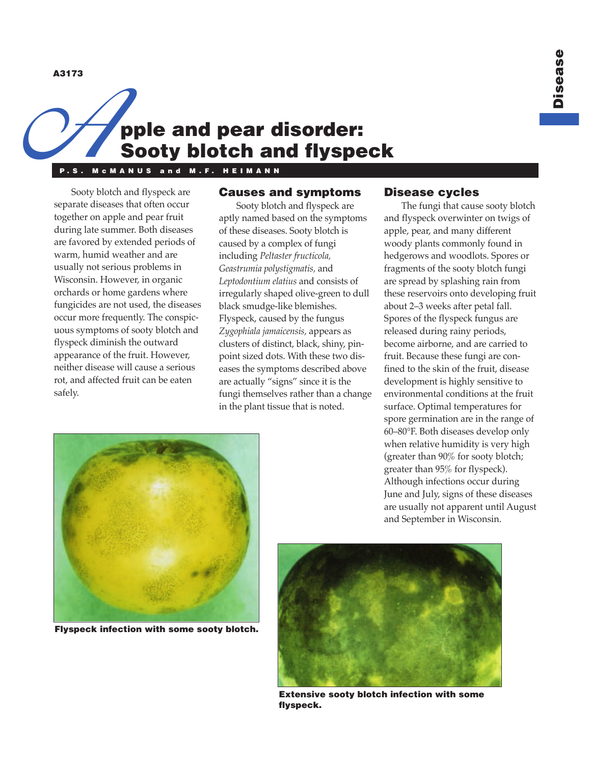**A3173**

# A3173 **pple and pear disorder: Sooty blotch and flyspeck**

**P.S. McMANUS and M.F. HEIMANN**

Sooty blotch and flyspeck are separate diseases that often occur together on apple and pear fruit during late summer. Both diseases are favored by extended periods of warm, humid weather and are usually not serious problems in Wisconsin. However, in organic orchards or home gardens where fungicides are not used, the diseases occur more frequently. The conspicuous symptoms of sooty blotch and flyspeck diminish the outward appearance of the fruit. However, neither disease will cause a serious rot, and affected fruit can be eaten safely.

## **Causes and symptoms**

Sooty blotch and flyspeck are aptly named based on the symptoms of these diseases. Sooty blotch is caused by a complex of fungi including *Peltaster fructicola, Geastrumia polystigmatis,* and *Leptodontium elatius* and consists of irregularly shaped olive-green to dull black smudge-like blemishes. Flyspeck, caused by the fungus *Zygophiala jamaicensis,* appears as clusters of distinct, black, shiny, pinpoint sized dots. With these two diseases the symptoms described above are actually "signs" since it is the fungi themselves rather than a change in the plant tissue that is noted.

## **Disease cycles**

The fungi that cause sooty blotch and flyspeck overwinter on twigs of apple, pear, and many different woody plants commonly found in hedgerows and woodlots. Spores or fragments of the sooty blotch fungi are spread by splashing rain from these reservoirs onto developing fruit about 2–3 weeks after petal fall. Spores of the flyspeck fungus are released during rainy periods, become airborne, and are carried to fruit. Because these fungi are confined to the skin of the fruit, disease development is highly sensitive to environmental conditions at the fruit surface. Optimal temperatures for spore germination are in the range of 60–80°F. Both diseases develop only when relative humidity is very high (greater than 90% for sooty blotch; greater than 95% for flyspeck). Although infections occur during June and July, signs of these diseases are usually not apparent until August and September in Wisconsin.



**Flyspeck infection with some sooty blotch.**



**Extensive sooty blotch infection with some flyspeck.**